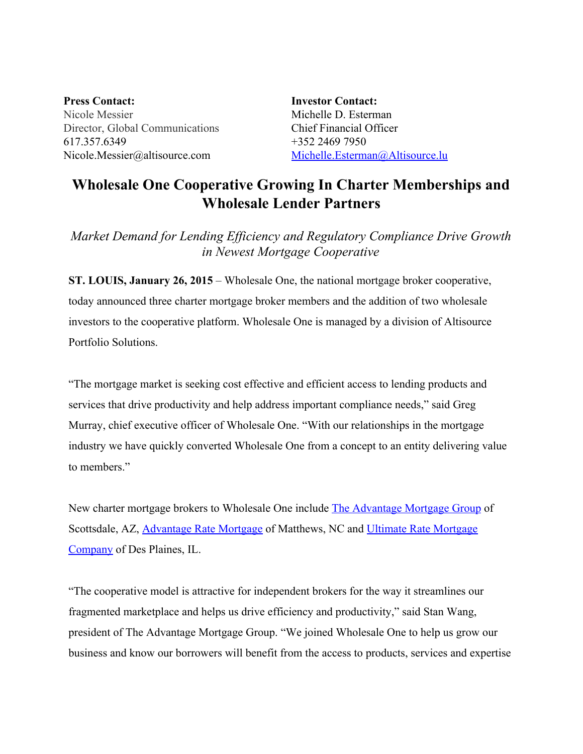**Press Contact:** Nicole Messier Director, Global Communications 617.357.6349 Nicole.Messier@altisource.com

**Investor Contact:** Michelle D. Esterman Chief Financial Officer +352 2469 7950 [Michelle.Esterman@Altisource.lu](mailto:Michelle.Esterman@Altisource.lu)

## **Wholesale One Cooperative Growing In Charter Memberships and Wholesale Lender Partners**

*Market Demand for Lending Ef iciency and Regulatory Compliance Drive Growth in Newest Mortgage Cooperative*

**ST. LOUIS, January 26, 2015**– Wholesale One, the national mortgage broker cooperative, today announced three charter mortgage broker members and the addition of two wholesale investors to the cooperative platform. Wholesale One is managed by a division of Altisource Portfolio Solutions.

"The mortgage market is seeking cost effective and efficient access to lending products and services that drive productivity and help address important compliance needs," said Greg Murray, chief executive officer of Wholesale One. "With our relationships in the mortgage industry we have quickly converted Wholesale One from a concept to an entity delivering value to members."

New charter mortgage brokers to Wholesale One include The [Advantage](http://tamg.biz/) Mortgage Group of Scottsdale, AZ, **[Advantage](http://www.advantageratemortgage.com/) Rate [Mortgage](http://www.urmortgage.com/)** of Matthews, NC and *Ultimate Rate Mortgage* [Company](http://www.urmortgage.com/) of Des Plaines, IL.

"The cooperative model is attractive for independent brokers for the way it streamlines our fragmented marketplace and helps us drive efficiency and productivity," said Stan Wang, president of The Advantage Mortgage Group. "We joined Wholesale One to help us grow our business and know our borrowers will benefit from the access to products, services and expertise